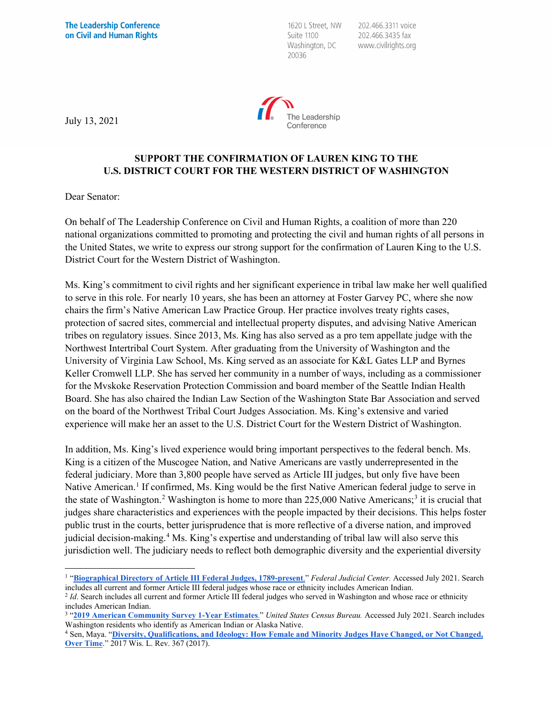1620 L Street, NW Suite 1100 Washington, DC 20036

202.466.3311 voice 202.466.3435 fax www.civilrights.org



July 13, 2021

## **SUPPORT THE CONFIRMATION OF LAUREN KING TO THE U.S. DISTRICT COURT FOR THE WESTERN DISTRICT OF WASHINGTON**

Dear Senator:

On behalf of The Leadership Conference on Civil and Human Rights, a coalition of more than 220 national organizations committed to promoting and protecting the civil and human rights of all persons in the United States, we write to express our strong support for the confirmation of Lauren King to the U.S. District Court for the Western District of Washington.

Ms. King's commitment to civil rights and her significant experience in tribal law make her well qualified to serve in this role. For nearly 10 years, she has been an attorney at Foster Garvey PC, where she now chairs the firm's Native American Law Practice Group. Her practice involves treaty rights cases, protection of sacred sites, commercial and intellectual property disputes, and advising Native American tribes on regulatory issues. Since 2013, Ms. King has also served as a pro tem appellate judge with the Northwest Intertribal Court System. After graduating from the University of Washington and the University of Virginia Law School, Ms. King served as an associate for K&L Gates LLP and Byrnes Keller Cromwell LLP. She has served her community in a number of ways, including as a commissioner for the Mvskoke Reservation Protection Commission and board member of the Seattle Indian Health Board. She has also chaired the Indian Law Section of the Washington State Bar Association and served on the board of the Northwest Tribal Court Judges Association. Ms. King's extensive and varied experience will make her an asset to the U.S. District Court for the Western District of Washington.

In addition, Ms. King's lived experience would bring important perspectives to the federal bench. Ms. King is a citizen of the Muscogee Nation, and Native Americans are vastly underrepresented in the federal judiciary. More than 3,800 people have served as Article III judges, but only five have been Native American.<sup>[1](#page-0-0)</sup> If confirmed, Ms. King would be the first Native American federal judge to serve in the state of Washington.<sup>2</sup> Washington is home to more than  $225,000$  Native Americans;<sup>[3](#page-0-2)</sup> it is crucial that judges share characteristics and experiences with the people impacted by their decisions. This helps foster public trust in the courts, better jurisprudence that is more reflective of a diverse nation, and improved judicial decision-making.[4](#page-0-3) Ms. King's expertise and understanding of tribal law will also serve this jurisdiction well. The judiciary needs to reflect both demographic diversity and the experiential diversity

<span id="page-0-0"></span><sup>&</sup>lt;sup>1</sup> "[Biographical Directory of Article III Federal Judges, 1789-present](https://www.fjc.gov/history/judges)." *Federal Judicial Center*. Accessed July 2021. Search includes all current and former Article III federal judges whose race or ethnicity includes American Indian.

<span id="page-0-1"></span><sup>&</sup>lt;sup>2</sup> *Id*. Search includes all current and former Article III federal judges who served in Washington and whose race or ethnicity includes American Indian.

<span id="page-0-2"></span><sup>3</sup> "**[2019 American Community Survey 1-Year Estimates](https://data.census.gov/cedsci/table?q=washington%20african%20american&tid=ACSDP1Y2019.DP05&hidePreview=true)**." *United States Census Bureau.* Accessed July 2021. Search includes Washington residents who identify as American Indian or Alaska Native.

<span id="page-0-3"></span><sup>4</sup> Sen, Maya. "**[Diversity, Qualifications, and Ideology: How Female and Minority Judges Have Changed, or Not Changed,](https://scholar.harvard.edu/files/msen/files/judicial-diversity.pdf)  [Over Time](https://scholar.harvard.edu/files/msen/files/judicial-diversity.pdf)**." 2017 Wis. L. Rev. 367 (2017).